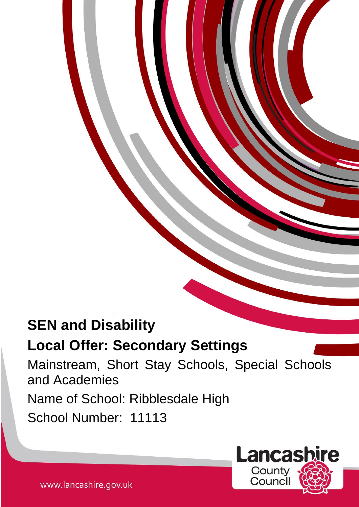# **SEN and Disability**

## **Local Offer: Secondary Settings**

Mainstream, Short Stay Schools, Special Schools and Academies Name of School: Ribblesdale High School Number: 11113



www.lancashire.gov.uk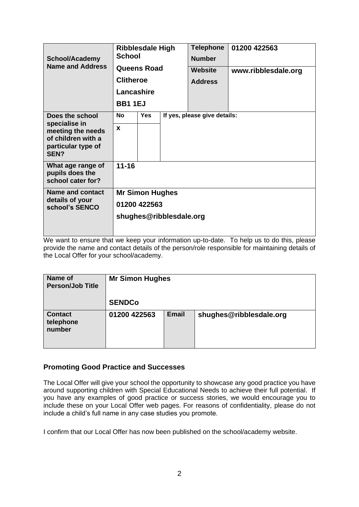| <b>School/Academy</b><br><b>Name and Address</b>                                                          | <b>Ribblesdale High</b><br><b>School</b> |            |  | <b>Telephone</b><br><b>Number</b> | 01200 422563        |  |  |  |
|-----------------------------------------------------------------------------------------------------------|------------------------------------------|------------|--|-----------------------------------|---------------------|--|--|--|
|                                                                                                           | <b>Queens Road</b><br><b>Clitheroe</b>   |            |  | <b>Website</b>                    | www.ribblesdale.org |  |  |  |
|                                                                                                           |                                          |            |  | <b>Address</b>                    |                     |  |  |  |
|                                                                                                           | Lancashire                               |            |  |                                   |                     |  |  |  |
|                                                                                                           | <b>BB11EJ</b>                            |            |  |                                   |                     |  |  |  |
| Does the school<br>specialise in<br>meeting the needs<br>of children with a<br>particular type of<br>SEN? | No                                       | <b>Yes</b> |  | If yes, please give details:      |                     |  |  |  |
|                                                                                                           | X                                        |            |  |                                   |                     |  |  |  |
| What age range of<br>pupils does the<br>school cater for?                                                 | $11 - 16$                                |            |  |                                   |                     |  |  |  |
| <b>Name and contact</b><br>details of your<br>school's SENCO                                              | <b>Mr Simon Hughes</b>                   |            |  |                                   |                     |  |  |  |
|                                                                                                           | 01200 422563                             |            |  |                                   |                     |  |  |  |
|                                                                                                           | shughes@ribblesdale.org                  |            |  |                                   |                     |  |  |  |

We want to ensure that we keep your information up-to-date. To help us to do this, please provide the name and contact details of the person/role responsible for maintaining details of the Local Offer for your school/academy.

| <b>Name of</b><br><b>Person/Job Title</b> | <b>Mr Simon Hughes</b> |              |                         |  |  |  |  |
|-------------------------------------------|------------------------|--------------|-------------------------|--|--|--|--|
|                                           | <b>SENDCo</b>          |              |                         |  |  |  |  |
| <b>Contact</b><br>telephone<br>number     | 01200 422563           | <b>Email</b> | shughes@ribblesdale.org |  |  |  |  |

## **Promoting Good Practice and Successes**

The Local Offer will give your school the opportunity to showcase any good practice you have around supporting children with Special Educational Needs to achieve their full potential. If you have any examples of good practice or success stories, we would encourage you to include these on your Local Offer web pages. For reasons of confidentiality, please do not include a child's full name in any case studies you promote.

I confirm that our Local Offer has now been published on the school/academy website.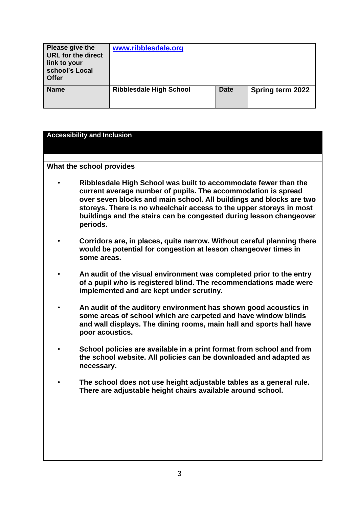| Please give the<br><b>URL for the direct</b><br>link to your<br>school's Local<br><b>Offer</b> | www.ribblesdale.org            |             |                  |
|------------------------------------------------------------------------------------------------|--------------------------------|-------------|------------------|
| <b>Name</b>                                                                                    | <b>Ribblesdale High School</b> | <b>Date</b> | Spring term 2022 |

### **Accessibility and Inclusion**

- **Ribblesdale High School was built to accommodate fewer than the current average number of pupils. The accommodation is spread over seven blocks and main school. All buildings and blocks are two storeys. There is no wheelchair access to the upper storeys in most buildings and the stairs can be congested during lesson changeover periods.**
- **Corridors are, in places, quite narrow. Without careful planning there would be potential for congestion at lesson changeover times in some areas.**
- **An audit of the visual environment was completed prior to the entry of a pupil who is registered blind. The recommendations made were implemented and are kept under scrutiny.**
- **An audit of the auditory environment has shown good acoustics in some areas of school which are carpeted and have window blinds and wall displays. The dining rooms, main hall and sports hall have poor acoustics.**
- **School policies are available in a print format from school and from the school website. All policies can be downloaded and adapted as necessary.**
- **The school does not use height adjustable tables as a general rule. There are adjustable height chairs available around school.**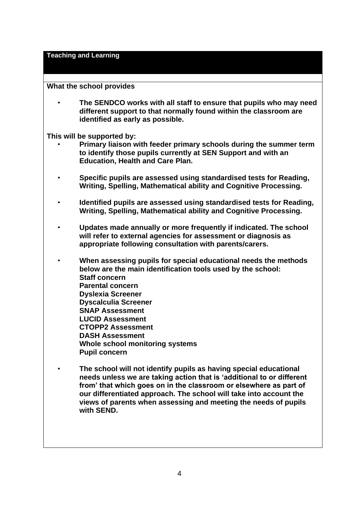#### **Teaching and Learning**

### **What the school provides**

• **The SENDCO works with all staff to ensure that pupils who may need different support to that normally found within the classroom are identified as early as possible.**

**This will be supported by:**

- **Primary liaison with feeder primary schools during the summer term to identify those pupils currently at SEN Support and with an Education, Health and Care Plan.**
- **Specific pupils are assessed using standardised tests for Reading, Writing, Spelling, Mathematical ability and Cognitive Processing.**
- **Identified pupils are assessed using standardised tests for Reading, Writing, Spelling, Mathematical ability and Cognitive Processing.**
- **Updates made annually or more frequently if indicated. The school will refer to external agencies for assessment or diagnosis as appropriate following consultation with parents/carers.**
- **When assessing pupils for special educational needs the methods below are the main identification tools used by the school: Staff concern Parental concern Dyslexia Screener Dyscalculia Screener SNAP Assessment LUCID Assessment CTOPP2 Assessment DASH Assessment Whole school monitoring systems Pupil concern**
- **The school will not identify pupils as having special educational needs unless we are taking action that is 'additional to or different from' that which goes on in the classroom or elsewhere as part of our differentiated approach. The school will take into account the views of parents when assessing and meeting the needs of pupils with SEND.**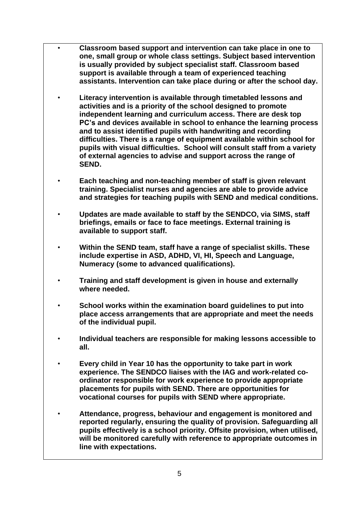- **Classroom based support and intervention can take place in one to one, small group or whole class settings. Subject based intervention is usually provided by subject specialist staff. Classroom based support is available through a team of experienced teaching assistants. Intervention can take place during or after the school day.** 
	- **Literacy intervention is available through timetabled lessons and activities and is a priority of the school designed to promote independent learning and curriculum access. There are desk top PC's and devices available in school to enhance the learning process and to assist identified pupils with handwriting and recording difficulties. There is a range of equipment available within school for pupils with visual difficulties. School will consult staff from a variety of external agencies to advise and support across the range of SEND.**
	- **Each teaching and non-teaching member of staff is given relevant training. Specialist nurses and agencies are able to provide advice and strategies for teaching pupils with SEND and medical conditions.**
	- **Updates are made available to staff by the SENDCO, via SIMS, staff briefings, emails or face to face meetings. External training is available to support staff.**
	- **Within the SEND team, staff have a range of specialist skills. These include expertise in ASD, ADHD, VI, HI, Speech and Language, Numeracy (some to advanced qualifications).**
	- **Training and staff development is given in house and externally where needed.**
	- **School works within the examination board guidelines to put into place access arrangements that are appropriate and meet the needs of the individual pupil.**
	- **Individual teachers are responsible for making lessons accessible to all.**
	- **Every child in Year 10 has the opportunity to take part in work experience. The SENDCO liaises with the IAG and work-related coordinator responsible for work experience to provide appropriate placements for pupils with SEND. There are opportunities for vocational courses for pupils with SEND where appropriate.**
	- **Attendance, progress, behaviour and engagement is monitored and reported regularly, ensuring the quality of provision. Safeguarding all pupils effectively is a school priority. Offsite provision, when utilised, will be monitored carefully with reference to appropriate outcomes in line with expectations.**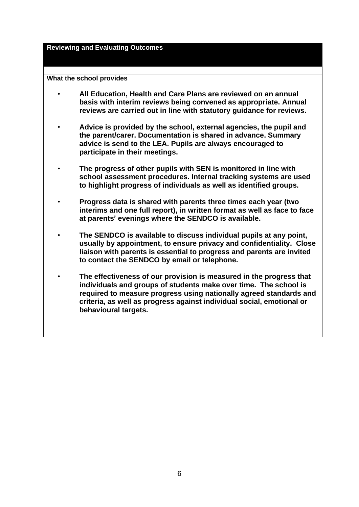**Reviewing and Evaluating Outcomes**

- **All Education, Health and Care Plans are reviewed on an annual basis with interim reviews being convened as appropriate. Annual reviews are carried out in line with statutory guidance for reviews.**
- **Advice is provided by the school, external agencies, the pupil and the parent/carer. Documentation is shared in advance. Summary advice is send to the LEA. Pupils are always encouraged to participate in their meetings.**
- **The progress of other pupils with SEN is monitored in line with school assessment procedures. Internal tracking systems are used to highlight progress of individuals as well as identified groups.**
- **Progress data is shared with parents three times each year (two interims and one full report), in written format as well as face to face at parents' evenings where the SENDCO is available.**
- **The SENDCO is available to discuss individual pupils at any point, usually by appointment, to ensure privacy and confidentiality. Close liaison with parents is essential to progress and parents are invited to contact the SENDCO by email or telephone.**
- **The effectiveness of our provision is measured in the progress that individuals and groups of students make over time. The school is required to measure progress using nationally agreed standards and criteria, as well as progress against individual social, emotional or behavioural targets.**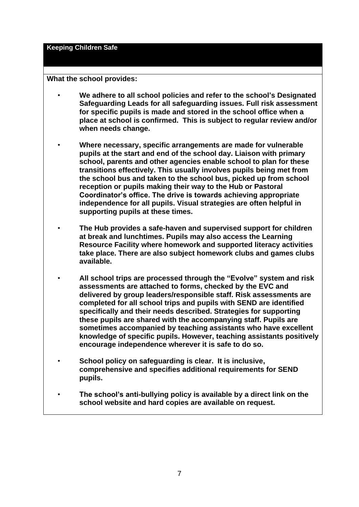**Keeping Children Safe**

- **We adhere to all school policies and refer to the school's Designated Safeguarding Leads for all safeguarding issues. Full risk assessment for specific pupils is made and stored in the school office when a place at school is confirmed. This is subject to regular review and/or when needs change.**
- **Where necessary, specific arrangements are made for vulnerable pupils at the start and end of the school day. Liaison with primary school, parents and other agencies enable school to plan for these transitions effectively. This usually involves pupils being met from the school bus and taken to the school bus, picked up from school reception or pupils making their way to the Hub or Pastoral Coordinator's office. The drive is towards achieving appropriate independence for all pupils. Visual strategies are often helpful in supporting pupils at these times.**
- **The Hub provides a safe-haven and supervised support for children at break and lunchtimes. Pupils may also access the Learning Resource Facility where homework and supported literacy activities take place. There are also subject homework clubs and games clubs available.**
- **All school trips are processed through the "Evolve" system and risk assessments are attached to forms, checked by the EVC and delivered by group leaders/responsible staff. Risk assessments are completed for all school trips and pupils with SEND are identified specifically and their needs described. Strategies for supporting these pupils are shared with the accompanying staff. Pupils are sometimes accompanied by teaching assistants who have excellent knowledge of specific pupils. However, teaching assistants positively encourage independence wherever it is safe to do so.**
- **School policy on safeguarding is clear. It is inclusive, comprehensive and specifies additional requirements for SEND pupils.**
- **The school's anti-bullying policy is available by a direct link on the school website and hard copies are available on request.**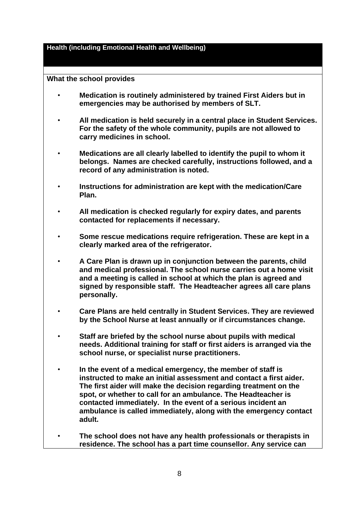**Health (including Emotional Health and Wellbeing)**

- **Medication is routinely administered by trained First Aiders but in emergencies may be authorised by members of SLT.**
- **All medication is held securely in a central place in Student Services. For the safety of the whole community, pupils are not allowed to carry medicines in school.**
- **Medications are all clearly labelled to identify the pupil to whom it belongs. Names are checked carefully, instructions followed, and a record of any administration is noted.**
- **Instructions for administration are kept with the medication/Care Plan.**
- **All medication is checked regularly for expiry dates, and parents contacted for replacements if necessary.**
- **Some rescue medications require refrigeration. These are kept in a clearly marked area of the refrigerator.**
- **A Care Plan is drawn up in conjunction between the parents, child and medical professional. The school nurse carries out a home visit and a meeting is called in school at which the plan is agreed and signed by responsible staff. The Headteacher agrees all care plans personally.**
- **Care Plans are held centrally in Student Services. They are reviewed by the School Nurse at least annually or if circumstances change.**
- **Staff are briefed by the school nurse about pupils with medical needs. Additional training for staff or first aiders is arranged via the school nurse, or specialist nurse practitioners.**
- **In the event of a medical emergency, the member of staff is instructed to make an initial assessment and contact a first aider. The first aider will make the decision regarding treatment on the spot, or whether to call for an ambulance. The Headteacher is contacted immediately. In the event of a serious incident an ambulance is called immediately, along with the emergency contact adult.**
- **The school does not have any health professionals or therapists in residence. The school has a part time counsellor. Any service can**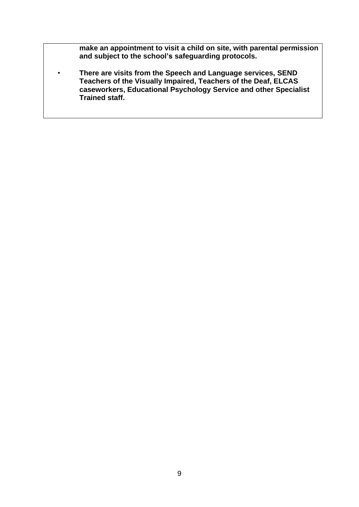**make an appointment to visit a child on site, with parental permission and subject to the school's safeguarding protocols.** 

• **There are visits from the Speech and Language services, SEND Teachers of the Visually Impaired, Teachers of the Deaf, ELCAS caseworkers, Educational Psychology Service and other Specialist Trained staff.**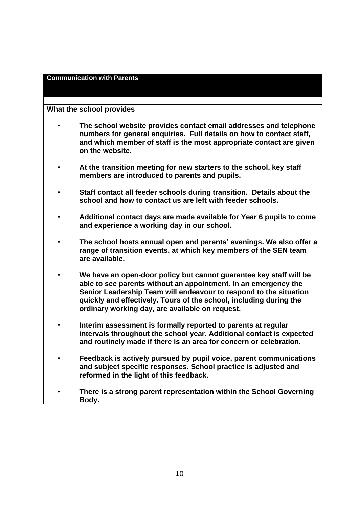## **Communication with Parents**

- **The school website provides contact email addresses and telephone numbers for general enquiries. Full details on how to contact staff, and which member of staff is the most appropriate contact are given on the website.**
- **At the transition meeting for new starters to the school, key staff members are introduced to parents and pupils.**
- **Staff contact all feeder schools during transition. Details about the school and how to contact us are left with feeder schools.**
- **Additional contact days are made available for Year 6 pupils to come and experience a working day in our school.**
- **The school hosts annual open and parents' evenings. We also offer a range of transition events, at which key members of the SEN team are available.**
- **We have an open-door policy but cannot guarantee key staff will be able to see parents without an appointment. In an emergency the Senior Leadership Team will endeavour to respond to the situation quickly and effectively. Tours of the school, including during the ordinary working day, are available on request.**
- **Interim assessment is formally reported to parents at regular intervals throughout the school year. Additional contact is expected and routinely made if there is an area for concern or celebration.**
- **Feedback is actively pursued by pupil voice, parent communications and subject specific responses. School practice is adjusted and reformed in the light of this feedback.**
- **There is a strong parent representation within the School Governing Body.**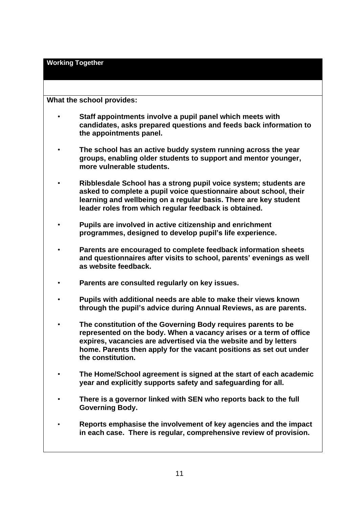**Working Together**

- **Staff appointments involve a pupil panel which meets with candidates, asks prepared questions and feeds back information to the appointments panel.**
- **The school has an active buddy system running across the year groups, enabling older students to support and mentor younger, more vulnerable students.**
- **Ribblesdale School has a strong pupil voice system; students are asked to complete a pupil voice questionnaire about school, their learning and wellbeing on a regular basis. There are key student leader roles from which regular feedback is obtained.**
- **Pupils are involved in active citizenship and enrichment programmes, designed to develop pupil's life experience.**
- **Parents are encouraged to complete feedback information sheets and questionnaires after visits to school, parents' evenings as well as website feedback.**
- **Parents are consulted regularly on key issues.**
- **Pupils with additional needs are able to make their views known through the pupil's advice during Annual Reviews, as are parents.**
- **The constitution of the Governing Body requires parents to be represented on the body. When a vacancy arises or a term of office expires, vacancies are advertised via the website and by letters home. Parents then apply for the vacant positions as set out under the constitution.**
- **The Home/School agreement is signed at the start of each academic year and explicitly supports safety and safeguarding for all.**
- **There is a governor linked with SEN who reports back to the full Governing Body.**
- **Reports emphasise the involvement of key agencies and the impact in each case. There is regular, comprehensive review of provision.**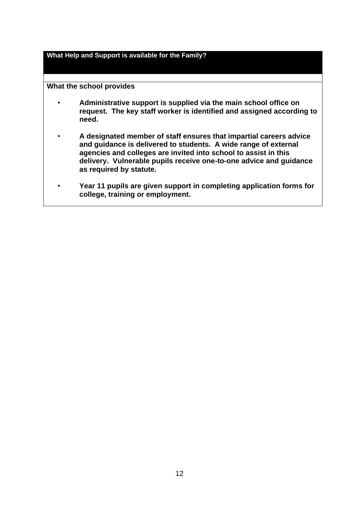**What Help and Support is available for the Family?**

- **Administrative support is supplied via the main school office on request. The key staff worker is identified and assigned according to need.**
- **A designated member of staff ensures that impartial careers advice and guidance is delivered to students. A wide range of external agencies and colleges are invited into school to assist in this delivery. Vulnerable pupils receive one-to-one advice and guidance as required by statute.**
- **Year 11 pupils are given support in completing application forms for college, training or employment.**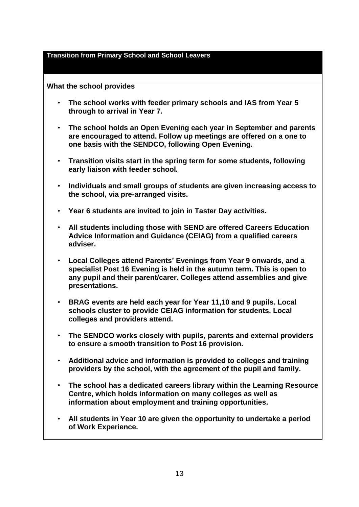#### **Transition from Primary School and School Leavers**

- **The school works with feeder primary schools and IAS from Year 5 through to arrival in Year 7.**
- **The school holds an Open Evening each year in September and parents are encouraged to attend. Follow up meetings are offered on a one to one basis with the SENDCO, following Open Evening.**
- **Transition visits start in the spring term for some students, following early liaison with feeder school.**
- **Individuals and small groups of students are given increasing access to the school, via pre-arranged visits.**
- **Year 6 students are invited to join in Taster Day activities.**
- **All students including those with SEND are offered Careers Education Advice Information and Guidance (CEIAG) from a qualified careers adviser.**
- **Local Colleges attend Parents' Evenings from Year 9 onwards, and a specialist Post 16 Evening is held in the autumn term. This is open to any pupil and their parent/carer. Colleges attend assemblies and give presentations.**
- **BRAG events are held each year for Year 11,10 and 9 pupils. Local schools cluster to provide CEIAG information for students. Local colleges and providers attend.**
- **The SENDCO works closely with pupils, parents and external providers to ensure a smooth transition to Post 16 provision.**
- **Additional advice and information is provided to colleges and training providers by the school, with the agreement of the pupil and family.**
- **The school has a dedicated careers library within the Learning Resource Centre, which holds information on many colleges as well as information about employment and training opportunities.**
- **All students in Year 10 are given the opportunity to undertake a period of Work Experience.**